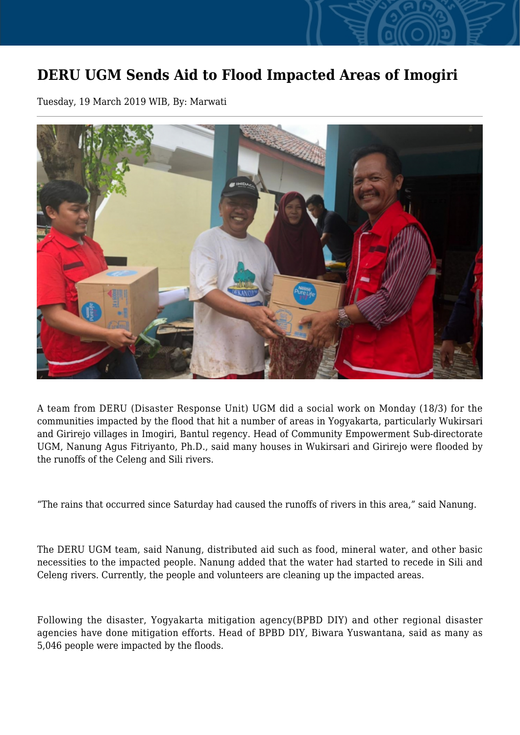## **DERU UGM Sends Aid to Flood Impacted Areas of Imogiri**

Tuesday, 19 March 2019 WIB, By: Marwati



A team from DERU (Disaster Response Unit) UGM did a social work on Monday (18/3) for the communities impacted by the flood that hit a number of areas in Yogyakarta, particularly Wukirsari and Girirejo villages in Imogiri, Bantul regency. Head of Community Empowerment Sub-directorate UGM, Nanung Agus Fitriyanto, Ph.D., said many houses in Wukirsari and Girirejo were flooded by the runoffs of the Celeng and Sili rivers.

"The rains that occurred since Saturday had caused the runoffs of rivers in this area," said Nanung.

The DERU UGM team, said Nanung, distributed aid such as food, mineral water, and other basic necessities to the impacted people. Nanung added that the water had started to recede in Sili and Celeng rivers. Currently, the people and volunteers are cleaning up the impacted areas.

Following the disaster, Yogyakarta mitigation agency(BPBD DIY) and other regional disaster agencies have done mitigation efforts. Head of BPBD DIY, Biwara Yuswantana, said as many as 5,046 people were impacted by the floods.